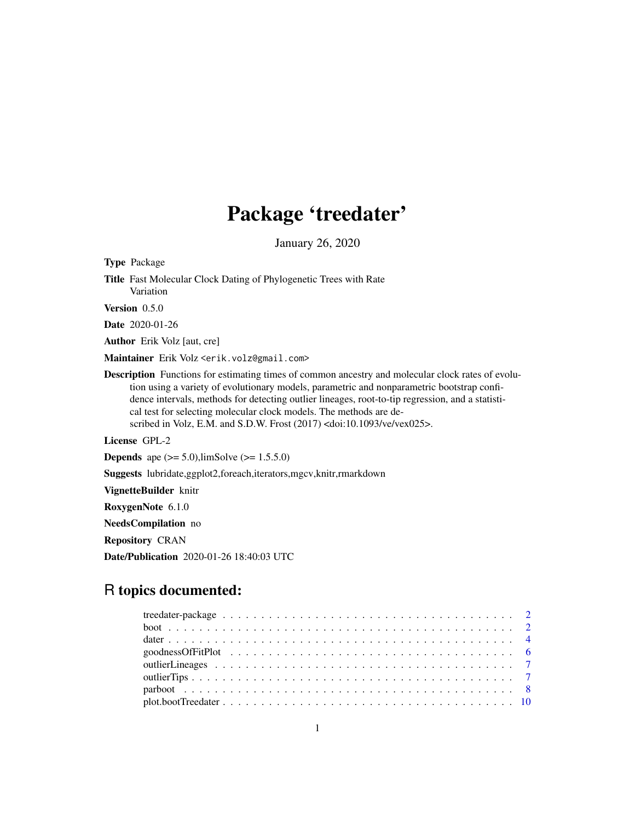## Package 'treedater'

January 26, 2020

Type Package Title Fast Molecular Clock Dating of Phylogenetic Trees with Rate Variation Version 0.5.0 Date 2020-01-26 Author Erik Volz [aut, cre] Maintainer Erik Volz <erik.volz@gmail.com> Description Functions for estimating times of common ancestry and molecular clock rates of evolution using a variety of evolutionary models, parametric and nonparametric bootstrap confidence intervals, methods for detecting outlier lineages, root-to-tip regression, and a statistical test for selecting molecular clock models. The methods are described in Volz, E.M. and S.D.W. Frost (2017) <doi:10.1093/ve/vex025>. License GPL-2 **Depends** ape  $(>= 5.0)$ , limSolve  $(>= 1.5.5.0)$ Suggests lubridate,ggplot2,foreach,iterators,mgcv,knitr,rmarkdown VignetteBuilder knitr RoxygenNote 6.1.0 NeedsCompilation no Repository CRAN

Date/Publication 2020-01-26 18:40:03 UTC

### R topics documented: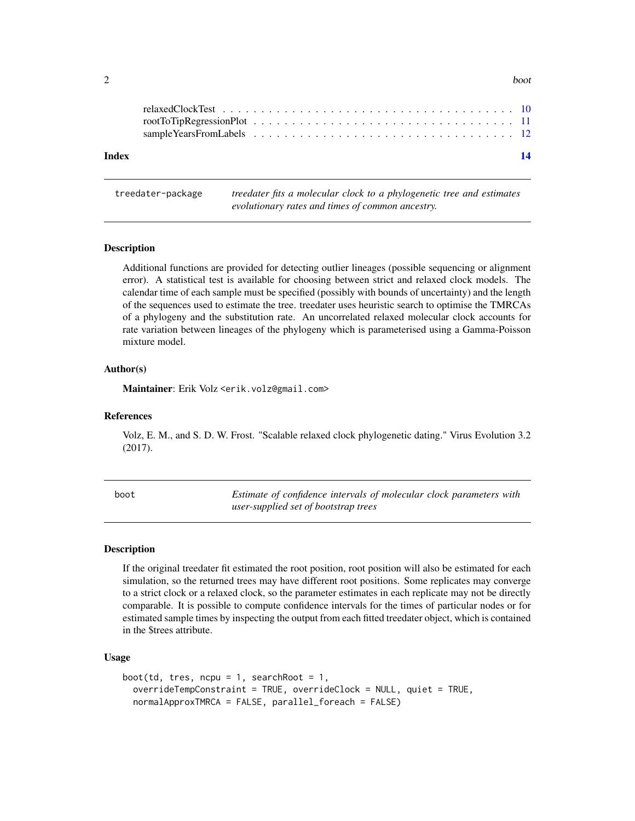<span id="page-1-0"></span>

| ~<br>. . | boot |
|----------|------|
|          |      |

| Index |  |  |  |  |  |  |  |  |  |  |  |  |  |  |  |  |  | 14 |
|-------|--|--|--|--|--|--|--|--|--|--|--|--|--|--|--|--|--|----|
|       |  |  |  |  |  |  |  |  |  |  |  |  |  |  |  |  |  |    |
|       |  |  |  |  |  |  |  |  |  |  |  |  |  |  |  |  |  |    |
|       |  |  |  |  |  |  |  |  |  |  |  |  |  |  |  |  |  |    |

treedater-package *treedater fits a molecular clock to a phylogenetic tree and estimates evolutionary rates and times of common ancestry.*

#### Description

Additional functions are provided for detecting outlier lineages (possible sequencing or alignment error). A statistical test is available for choosing between strict and relaxed clock models. The calendar time of each sample must be specified (possibly with bounds of uncertainty) and the length of the sequences used to estimate the tree. treedater uses heuristic search to optimise the TMRCAs of a phylogeny and the substitution rate. An uncorrelated relaxed molecular clock accounts for rate variation between lineages of the phylogeny which is parameterised using a Gamma-Poisson mixture model.

#### Author(s)

Maintainer: Erik Volz <erik.volz@gmail.com>

#### References

Volz, E. M., and S. D. W. Frost. "Scalable relaxed clock phylogenetic dating." Virus Evolution 3.2 (2017).

boot *Estimate of confidence intervals of molecular clock parameters with user-supplied set of bootstrap trees*

#### Description

If the original treedater fit estimated the root position, root position will also be estimated for each simulation, so the returned trees may have different root positions. Some replicates may converge to a strict clock or a relaxed clock, so the parameter estimates in each replicate may not be directly comparable. It is possible to compute confidence intervals for the times of particular nodes or for estimated sample times by inspecting the output from each fitted treedater object, which is contained in the \$trees attribute.

#### Usage

```
boot(td, tres, ncpu = 1, searchRoot = 1,
  overrideTempConstraint = TRUE, overrideClock = NULL, quiet = TRUE,
  normalApproxTMRCA = FALSE, parallel_foreach = FALSE)
```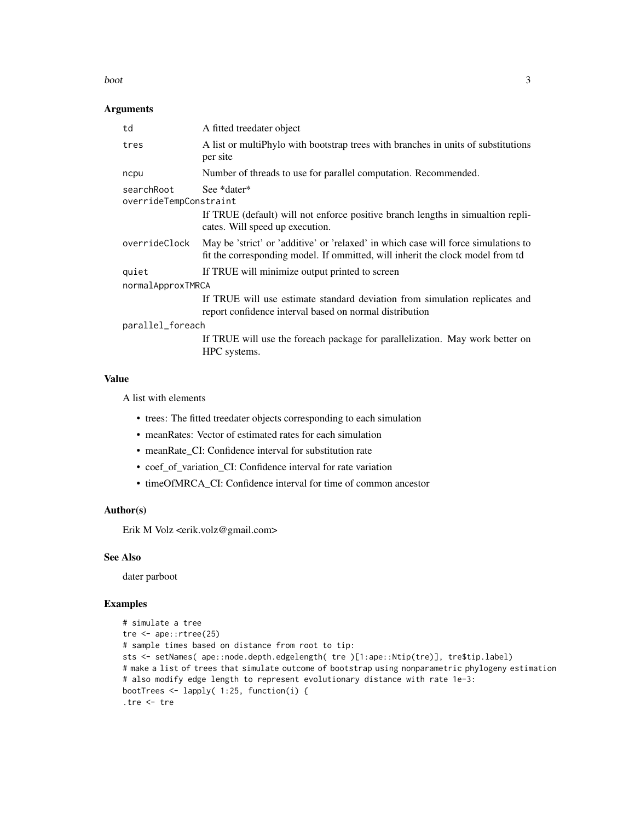#### boot 3

#### Arguments

| td                                   | A fitted treedater object                                                                                                                                            |  |  |  |  |
|--------------------------------------|----------------------------------------------------------------------------------------------------------------------------------------------------------------------|--|--|--|--|
| tres                                 | A list or multiphylo with bootstrap trees with branches in units of substitutions<br>per site                                                                        |  |  |  |  |
| ncpu                                 | Number of threads to use for parallel computation. Recommended.                                                                                                      |  |  |  |  |
| searchRoot<br>overrideTempConstraint | See *dater*<br>If TRUE (default) will not enforce positive branch lengths in simulation repli-<br>cates. Will speed up execution.                                    |  |  |  |  |
| overrideClock                        | May be 'strict' or 'additive' or 'relaxed' in which case will force simulations to<br>fit the corresponding model. If ommitted, will inherit the clock model from td |  |  |  |  |
| quiet                                | If TRUE will minimize output printed to screen                                                                                                                       |  |  |  |  |
| normalApproxTMRCA                    |                                                                                                                                                                      |  |  |  |  |
|                                      | If TRUE will use estimate standard deviation from simulation replicates and<br>report confidence interval based on normal distribution                               |  |  |  |  |
| parallel_foreach                     |                                                                                                                                                                      |  |  |  |  |
|                                      | If TRUE will use the foreach package for parallelization. May work better on<br>HPC systems.                                                                         |  |  |  |  |
|                                      |                                                                                                                                                                      |  |  |  |  |

#### Value

A list with elements

- trees: The fitted treedater objects corresponding to each simulation
- meanRates: Vector of estimated rates for each simulation
- meanRate\_CI: Confidence interval for substitution rate
- coef\_of\_variation\_CI: Confidence interval for rate variation
- timeOfMRCA\_CI: Confidence interval for time of common ancestor

#### Author(s)

Erik M Volz <erik.volz@gmail.com>

#### See Also

dater parboot

#### Examples

```
# simulate a tree
tre <- ape::rtree(25)
# sample times based on distance from root to tip:
sts <- setNames( ape::node.depth.edgelength( tre )[1:ape::Ntip(tre)], tre$tip.label)
# make a list of trees that simulate outcome of bootstrap using nonparametric phylogeny estimation
# also modify edge length to represent evolutionary distance with rate 1e-3:
bootTrees <- lapply( 1:25, function(i) {
.tre <- tre
```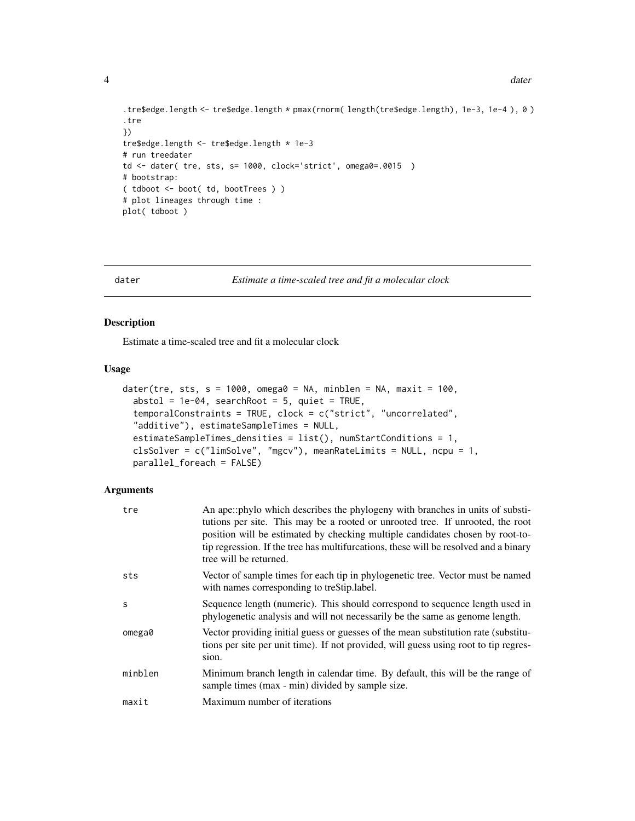```
.tre$edge.length <- tre$edge.length * pmax(rnorm( length(tre$edge.length), 1e-3, 1e-4 ), 0 )
.tre
})
tre$edge.length <- tre$edge.length * 1e-3
# run treedater
td <- dater( tre, sts, s= 1000, clock='strict', omega0=.0015 )
# bootstrap:
( tdboot <- boot( td, bootTrees ) )
# plot lineages through time :
plot( tdboot )
```

```
dater Estimate a time-scaled tree and fit a molecular clock
```
#### Description

Estimate a time-scaled tree and fit a molecular clock

#### Usage

```
dater(tre, sts, s = 1000, omega0 = NA, minblen = NA, maxit = 100,
  abstol = 1e-04, searchRoot = 5, quiet = TRUE,
  temporalConstraints = TRUE, clock = c("strict", "uncorrelated",
  "additive"), estimateSampleTimes = NULL,
  estimateSampleTimes_densities = list(), numStartConditions = 1,
  clsSolver = c("limSolve", "mgcv"), meanRateLimits = NULL, ncpu = 1,
 parallel_foreach = FALSE)
```
#### Arguments

| tre     | An ape::phylo which describes the phylogeny with branches in units of substi-<br>tutions per site. This may be a rooted or unrooted tree. If unrooted, the root<br>position will be estimated by checking multiple candidates chosen by root-to-<br>tip regression. If the tree has multifurcations, these will be resolved and a binary<br>tree will be returned. |
|---------|--------------------------------------------------------------------------------------------------------------------------------------------------------------------------------------------------------------------------------------------------------------------------------------------------------------------------------------------------------------------|
| sts     | Vector of sample times for each tip in phylogenetic tree. Vector must be named<br>with names corresponding to trestip. label.                                                                                                                                                                                                                                      |
| S       | Sequence length (numeric). This should correspond to sequence length used in<br>phylogenetic analysis and will not necessarily be the same as genome length.                                                                                                                                                                                                       |
| omega0  | Vector providing initial guess or guesses of the mean substitution rate (substitu-<br>tions per site per unit time). If not provided, will guess using root to tip regres-<br>sion.                                                                                                                                                                                |
| minblen | Minimum branch length in calendar time. By default, this will be the range of<br>sample times (max - min) divided by sample size.                                                                                                                                                                                                                                  |
| maxit   | Maximum number of iterations                                                                                                                                                                                                                                                                                                                                       |

<span id="page-3-0"></span>4 dater and the control of the control of the control of the control of the control of the control of the control of the control of the control of the control of the control of the control of the control of the control of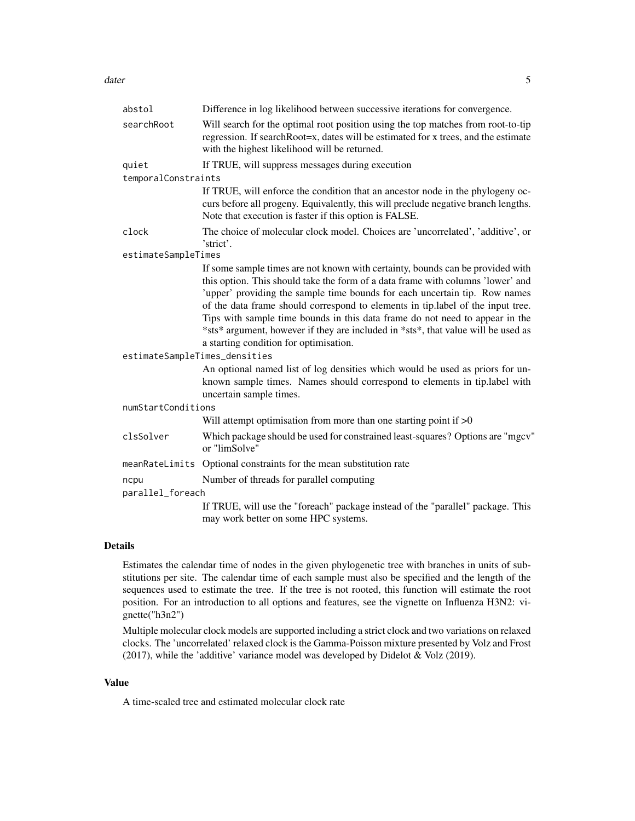#### dater 5 and 5 and 5 and 5 and 5 and 5 and 5 and 5 and 5 and 5 and 5 and 5 and 5 and 5 and 5 and 5 and 5 and 5 and 5 and 5 and 5 and 5 and 5 and 5 and 5 and 5 and 5 and 5 and 5 and 5 and 5 and 5 and 5 and 5 and 5 and 5 and

| abstol                        | Difference in log likelihood between successive iterations for convergence.                                                                                                                                                                                                                                                                                                                                                                                                                                                                       |
|-------------------------------|---------------------------------------------------------------------------------------------------------------------------------------------------------------------------------------------------------------------------------------------------------------------------------------------------------------------------------------------------------------------------------------------------------------------------------------------------------------------------------------------------------------------------------------------------|
| searchRoot                    | Will search for the optimal root position using the top matches from root-to-tip<br>regression. If search Root=x, dates will be estimated for x trees, and the estimate<br>with the highest likelihood will be returned.                                                                                                                                                                                                                                                                                                                          |
| quiet                         | If TRUE, will suppress messages during execution                                                                                                                                                                                                                                                                                                                                                                                                                                                                                                  |
| temporalConstraints           |                                                                                                                                                                                                                                                                                                                                                                                                                                                                                                                                                   |
|                               | If TRUE, will enforce the condition that an ancestor node in the phylogeny oc-<br>curs before all progeny. Equivalently, this will preclude negative branch lengths.<br>Note that execution is faster if this option is FALSE.                                                                                                                                                                                                                                                                                                                    |
| clock                         | The choice of molecular clock model. Choices are 'uncorrelated', 'additive', or<br>'strict'.                                                                                                                                                                                                                                                                                                                                                                                                                                                      |
| estimateSampleTimes           |                                                                                                                                                                                                                                                                                                                                                                                                                                                                                                                                                   |
|                               | If some sample times are not known with certainty, bounds can be provided with<br>this option. This should take the form of a data frame with columns 'lower' and<br>'upper' providing the sample time bounds for each uncertain tip. Row names<br>of the data frame should correspond to elements in tip.label of the input tree.<br>Tips with sample time bounds in this data frame do not need to appear in the<br>*sts* argument, however if they are included in *sts*, that value will be used as<br>a starting condition for optimisation. |
| estimateSampleTimes_densities |                                                                                                                                                                                                                                                                                                                                                                                                                                                                                                                                                   |
|                               | An optional named list of log densities which would be used as priors for un-<br>known sample times. Names should correspond to elements in tip.label with<br>uncertain sample times.                                                                                                                                                                                                                                                                                                                                                             |
| numStartConditions            |                                                                                                                                                                                                                                                                                                                                                                                                                                                                                                                                                   |
|                               | Will attempt optimisation from more than one starting point if $>0$                                                                                                                                                                                                                                                                                                                                                                                                                                                                               |
| clsSolver                     | Which package should be used for constrained least-squares? Options are "mgcv"<br>or "limSolve"                                                                                                                                                                                                                                                                                                                                                                                                                                                   |
|                               | meanRateLimits Optional constraints for the mean substitution rate                                                                                                                                                                                                                                                                                                                                                                                                                                                                                |
| ncpu                          | Number of threads for parallel computing                                                                                                                                                                                                                                                                                                                                                                                                                                                                                                          |
| parallel_foreach              |                                                                                                                                                                                                                                                                                                                                                                                                                                                                                                                                                   |
|                               | If TRUE, will use the "foreach" package instead of the "parallel" package. This<br>may work better on some HPC systems.                                                                                                                                                                                                                                                                                                                                                                                                                           |

#### Details

Estimates the calendar time of nodes in the given phylogenetic tree with branches in units of substitutions per site. The calendar time of each sample must also be specified and the length of the sequences used to estimate the tree. If the tree is not rooted, this function will estimate the root position. For an introduction to all options and features, see the vignette on Influenza H3N2: vignette("h3n2")

Multiple molecular clock models are supported including a strict clock and two variations on relaxed clocks. The 'uncorrelated' relaxed clock is the Gamma-Poisson mixture presented by Volz and Frost (2017), while the 'additive' variance model was developed by Didelot & Volz (2019).

#### Value

A time-scaled tree and estimated molecular clock rate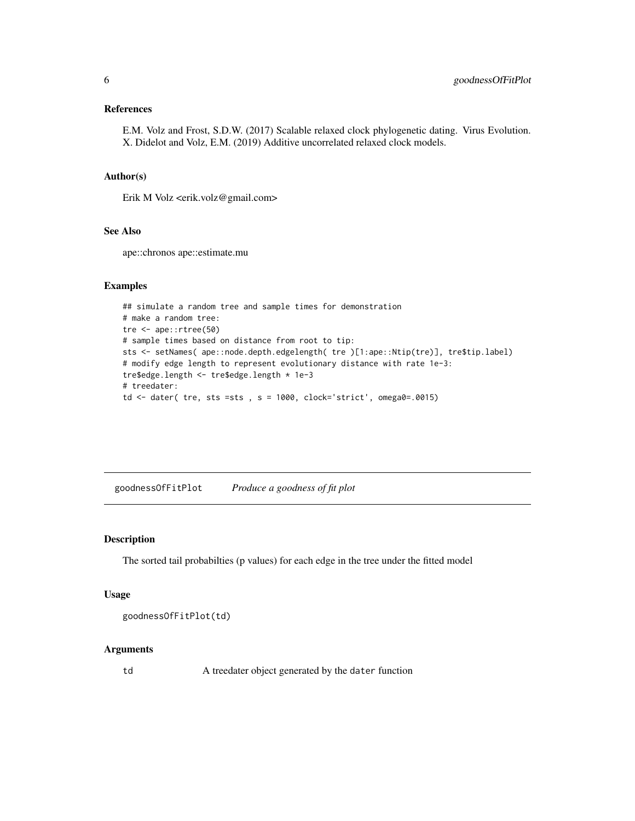#### <span id="page-5-0"></span>References

E.M. Volz and Frost, S.D.W. (2017) Scalable relaxed clock phylogenetic dating. Virus Evolution. X. Didelot and Volz, E.M. (2019) Additive uncorrelated relaxed clock models.

#### Author(s)

Erik M Volz <erik.volz@gmail.com>

#### See Also

ape::chronos ape::estimate.mu

#### Examples

```
## simulate a random tree and sample times for demonstration
# make a random tree:
tre <- ape::rtree(50)
# sample times based on distance from root to tip:
sts <- setNames( ape::node.depth.edgelength( tre )[1:ape::Ntip(tre)], tre$tip.label)
# modify edge length to represent evolutionary distance with rate 1e-3:
tre$edge.length <- tre$edge.length * 1e-3
# treedater:
td \leftarrow date (tre, sts =sts, s = 1000, clock='strict', omega0=.0015)
```
goodnessOfFitPlot *Produce a goodness of fit plot*

#### Description

The sorted tail probabilties (p values) for each edge in the tree under the fitted model

#### Usage

```
goodnessOfFitPlot(td)
```
#### Arguments

td A treedater object generated by the dater function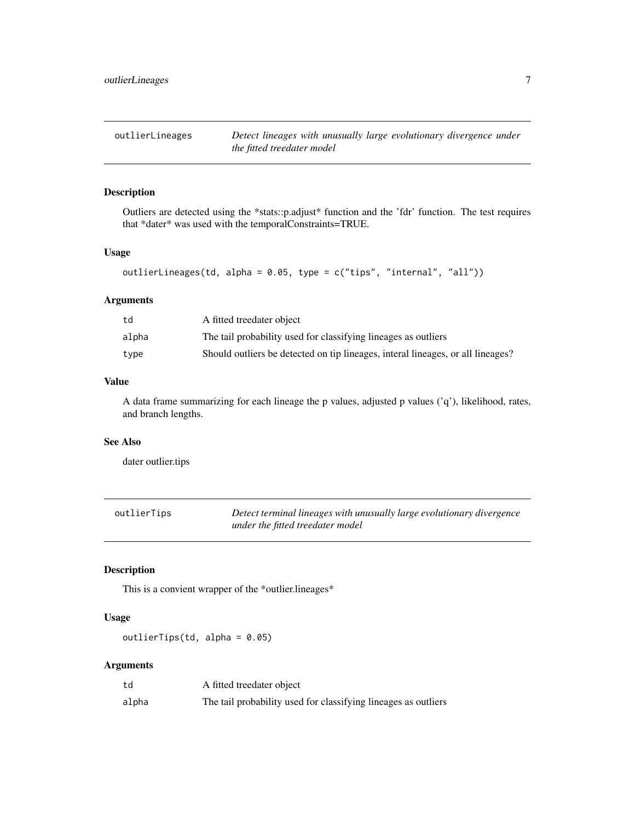<span id="page-6-0"></span>

#### Description

Outliers are detected using the \*stats::p.adjust\* function and the 'fdr' function. The test requires that \*dater\* was used with the temporalConstraints=TRUE.

#### Usage

```
outlierLineages(td, alpha = 0.05, type = c("tips", "internal", "all"))
```
#### Arguments

| td    | A fitted treedater object                                                       |
|-------|---------------------------------------------------------------------------------|
| alpha | The tail probability used for classifying lineages as outliers                  |
| type  | Should outliers be detected on tip lineages, interal lineages, or all lineages? |

#### Value

A data frame summarizing for each lineage the p values, adjusted p values  $('q')$ , likelihood, rates, and branch lengths.

#### See Also

dater outlier.tips

| outlierTips | Detect terminal lineages with unusually large evolutionary divergence |
|-------------|-----------------------------------------------------------------------|
|             | under the fitted treedater model                                      |

#### Description

This is a convient wrapper of the \*outlier.lineages\*

#### Usage

outlierTips(td, alpha = 0.05)

#### Arguments

| td    | A fitted treedater object                                      |
|-------|----------------------------------------------------------------|
| alpha | The tail probability used for classifying lineages as outliers |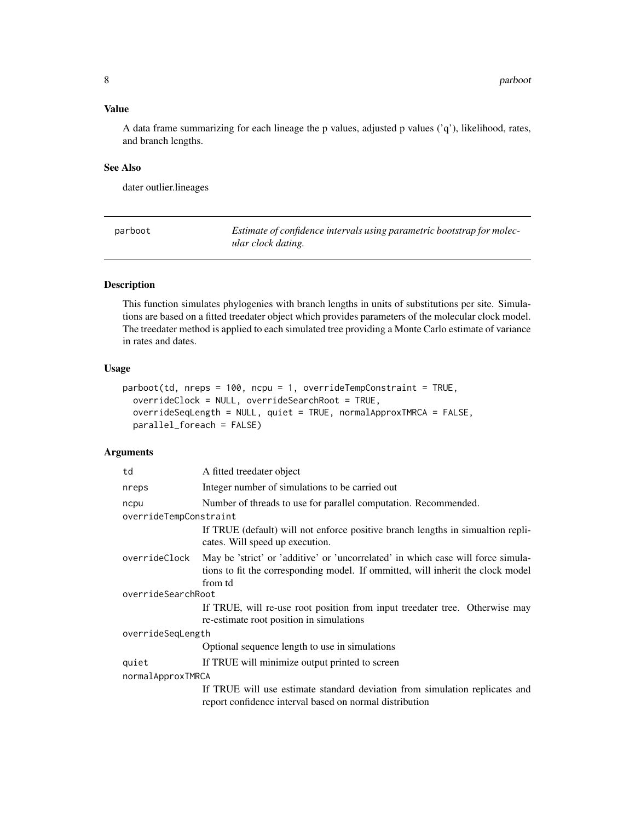#### <span id="page-7-0"></span>Value

A data frame summarizing for each lineage the p values, adjusted p values  $('q')$ , likelihood, rates, and branch lengths.

#### See Also

dater outlier.lineages

parboot *Estimate of confidence intervals using parametric bootstrap for molecular clock dating.*

#### Description

This function simulates phylogenies with branch lengths in units of substitutions per site. Simulations are based on a fitted treedater object which provides parameters of the molecular clock model. The treedater method is applied to each simulated tree providing a Monte Carlo estimate of variance in rates and dates.

#### Usage

```
parboot(td, nreps = 100, ncpu = 1, overrideTempConstraint = TRUE,overrideClock = NULL, overrideSearchRoot = TRUE,
 overrideSeqLength = NULL, quiet = TRUE, normalApproxTMRCA = FALSE,
 parallel_foreach = FALSE)
```
#### Arguments

| td                     | A fitted treedater object                                                                                                                                                      |
|------------------------|--------------------------------------------------------------------------------------------------------------------------------------------------------------------------------|
| nreps                  | Integer number of simulations to be carried out                                                                                                                                |
| ncpu                   | Number of threads to use for parallel computation. Recommended.                                                                                                                |
| overrideTempConstraint |                                                                                                                                                                                |
|                        | If TRUE (default) will not enforce positive branch lengths in simulation repli-<br>cates. Will speed up execution.                                                             |
| overrideClock          | May be 'strict' or 'additive' or 'uncorrelated' in which case will force simula-<br>tions to fit the corresponding model. If ommitted, will inherit the clock model<br>from td |
| overrideSearchRoot     |                                                                                                                                                                                |
|                        | If TRUE, will re-use root position from input treedater tree. Otherwise may<br>re-estimate root position in simulations                                                        |
| overrideSeqLength      |                                                                                                                                                                                |
|                        | Optional sequence length to use in simulations                                                                                                                                 |
| quiet                  | If TRUE will minimize output printed to screen                                                                                                                                 |
| normalApproxTMRCA      |                                                                                                                                                                                |
|                        | If TRUE will use estimate standard deviation from simulation replicates and<br>report confidence interval based on normal distribution                                         |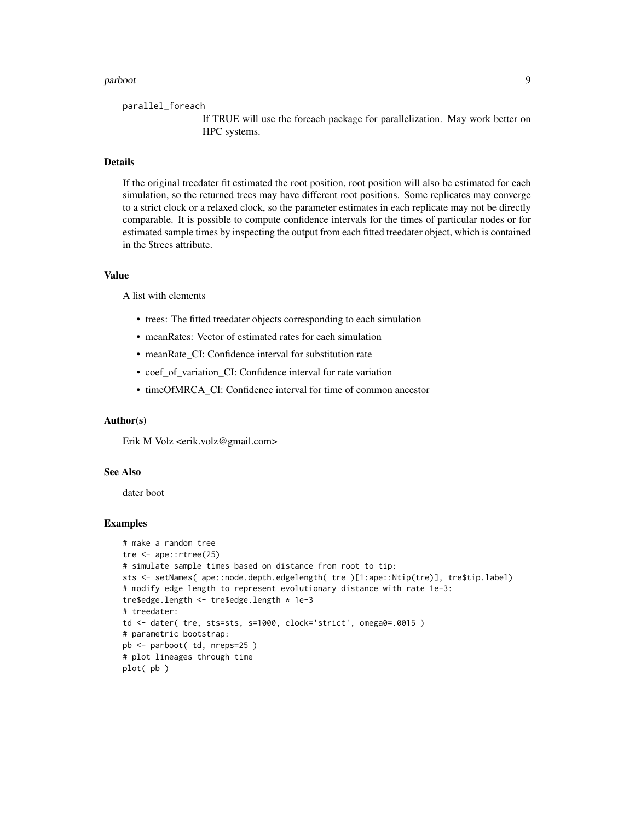#### parboot 9

parallel\_foreach

If TRUE will use the foreach package for parallelization. May work better on HPC systems.

#### **Details**

If the original treedater fit estimated the root position, root position will also be estimated for each simulation, so the returned trees may have different root positions. Some replicates may converge to a strict clock or a relaxed clock, so the parameter estimates in each replicate may not be directly comparable. It is possible to compute confidence intervals for the times of particular nodes or for estimated sample times by inspecting the output from each fitted treedater object, which is contained in the \$trees attribute.

#### Value

A list with elements

- trees: The fitted treedater objects corresponding to each simulation
- meanRates: Vector of estimated rates for each simulation
- meanRate\_CI: Confidence interval for substitution rate
- coef of variation CI: Confidence interval for rate variation
- timeOfMRCA\_CI: Confidence interval for time of common ancestor

#### Author(s)

Erik M Volz <erik.volz@gmail.com>

#### See Also

dater boot

#### Examples

```
# make a random tree
tre <- ape::rtree(25)
# simulate sample times based on distance from root to tip:
sts <- setNames( ape::node.depth.edgelength( tre )[1:ape::Ntip(tre)], tre$tip.label)
# modify edge length to represent evolutionary distance with rate 1e-3:
tre$edge.length <- tre$edge.length * 1e-3
# treedater:
td <- dater( tre, sts=sts, s=1000, clock='strict', omega0=.0015 )
# parametric bootstrap:
pb <- parboot( td, nreps=25 )
# plot lineages through time
plot( pb )
```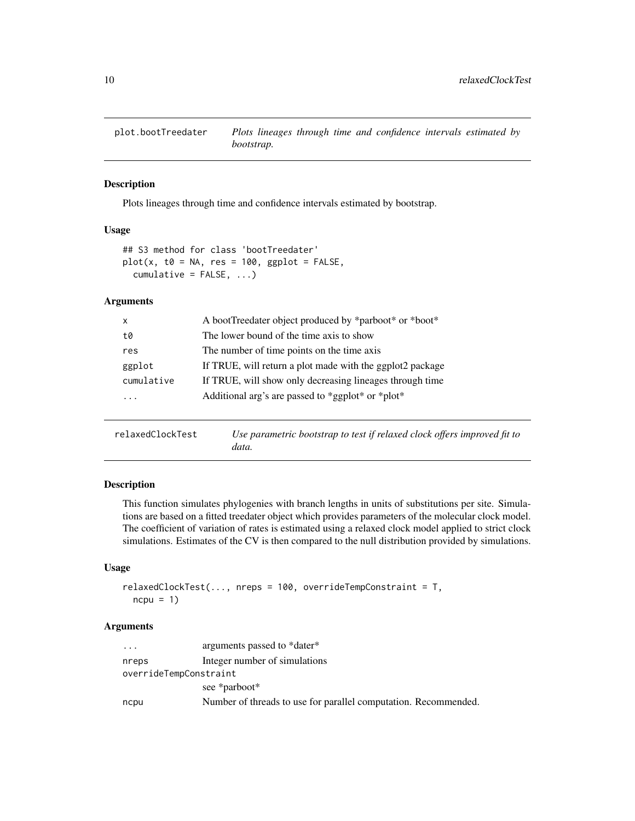<span id="page-9-0"></span>

#### Description

Plots lineages through time and confidence intervals estimated by bootstrap.

#### Usage

```
## S3 method for class 'bootTreedater'
plot(x, t0 = NA, res = 100, ggbot = FALSE,cumulative = FALSE, ...)
```
#### Arguments

| X          | A bootTreedater object produced by *parboot* or *boot*    |
|------------|-----------------------------------------------------------|
| t0         | The lower bound of the time axis to show                  |
| res        | The number of time points on the time axis                |
| ggplot     | If TRUE, will return a plot made with the ggplot2 package |
| cumulative | If TRUE, will show only decreasing lineages through time  |
| $\ddotsc$  | Additional arg's are passed to *ggplot* or *plot*         |
|            |                                                           |

| relaxedClockTest | Use parametric bootstrap to test if relaxed clock offers improved fit to |
|------------------|--------------------------------------------------------------------------|
|                  | data.                                                                    |

#### Description

This function simulates phylogenies with branch lengths in units of substitutions per site. Simulations are based on a fitted treedater object which provides parameters of the molecular clock model. The coefficient of variation of rates is estimated using a relaxed clock model applied to strict clock simulations. Estimates of the CV is then compared to the null distribution provided by simulations.

#### Usage

```
relaxedClockTest(..., nreps = 100, overrideTempConstraint = T,
 ncpu = 1
```
#### Arguments

| $\cdots$               | arguments passed to *dater*                                     |
|------------------------|-----------------------------------------------------------------|
| nreps                  | Integer number of simulations                                   |
| overrideTempConstraint |                                                                 |
|                        | see *parboot*                                                   |
| ncpu                   | Number of threads to use for parallel computation. Recommended. |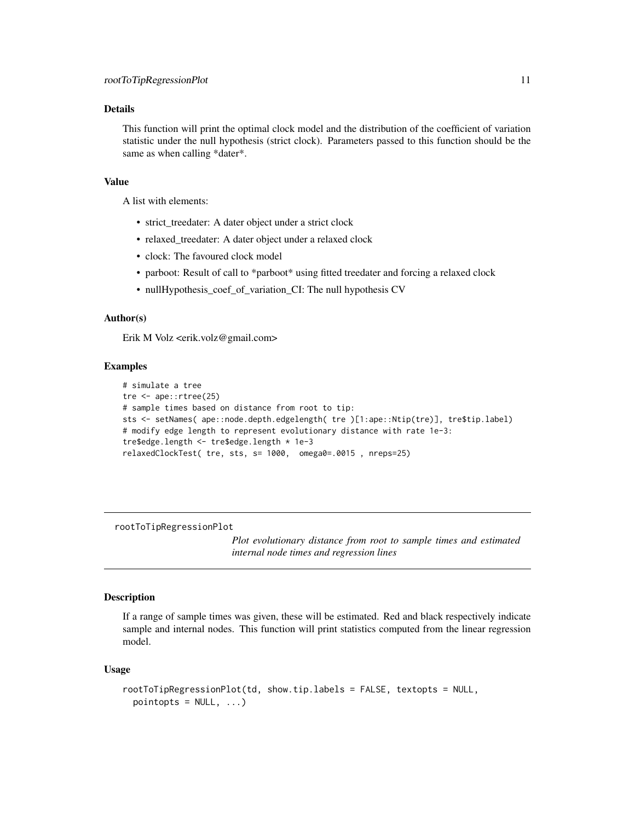#### <span id="page-10-0"></span>Details

This function will print the optimal clock model and the distribution of the coefficient of variation statistic under the null hypothesis (strict clock). Parameters passed to this function should be the same as when calling \*dater\*.

#### Value

A list with elements:

- strict\_treedater: A dater object under a strict clock
- relaxed\_treedater: A dater object under a relaxed clock
- clock: The favoured clock model
- parboot: Result of call to \*parboot\* using fitted treedater and forcing a relaxed clock
- nullHypothesis\_coef\_of\_variation\_CI: The null hypothesis CV

#### Author(s)

Erik M Volz <erik.volz@gmail.com>

#### Examples

```
# simulate a tree
tre <- ape::rtree(25)
# sample times based on distance from root to tip:
sts <- setNames( ape::node.depth.edgelength( tre )[1:ape::Ntip(tre)], tre$tip.label)
# modify edge length to represent evolutionary distance with rate 1e-3:
tre$edge.length <- tre$edge.length * 1e-3
relaxedClockTest( tre, sts, s= 1000, omega0=.0015 , nreps=25)
```
rootToTipRegressionPlot

*Plot evolutionary distance from root to sample times and estimated internal node times and regression lines*

#### Description

If a range of sample times was given, these will be estimated. Red and black respectively indicate sample and internal nodes. This function will print statistics computed from the linear regression model.

#### Usage

```
rootToTipRegressionPlot(td, show.tip.labels = FALSE, textopts = NULL,
 pointopts = NULL, ...)
```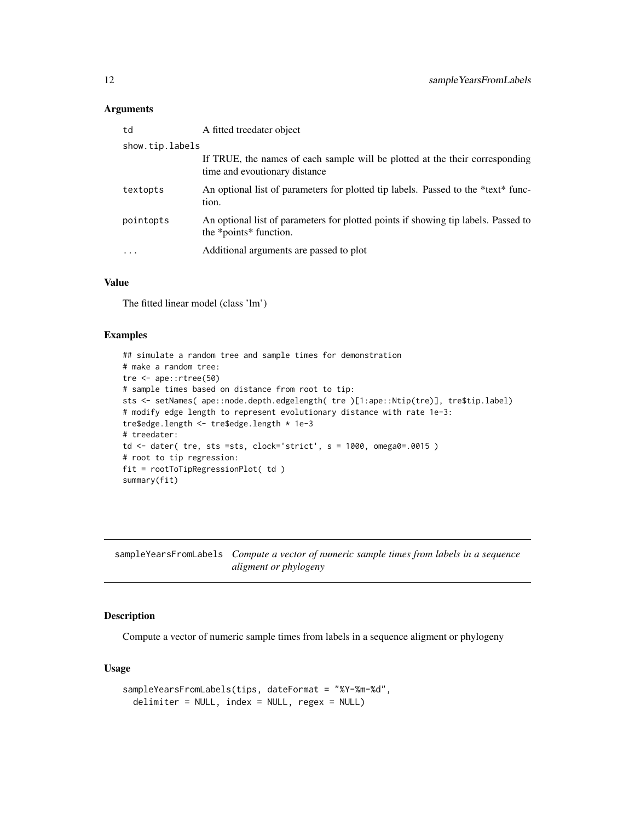#### <span id="page-11-0"></span>Arguments

| td              | A fitted treedater object                                                                                     |
|-----------------|---------------------------------------------------------------------------------------------------------------|
| show.tip.labels |                                                                                                               |
|                 | If TRUE, the names of each sample will be plotted at the their corresponding<br>time and evoutionary distance |
| textopts        | An optional list of parameters for plotted tip labels. Passed to the *text* func-<br>tion.                    |
| pointopts       | An optional list of parameters for plotted points if showing tip labels. Passed to<br>the *points* function.  |
| .               | Additional arguments are passed to plot                                                                       |

#### Value

The fitted linear model (class 'lm')

#### Examples

```
## simulate a random tree and sample times for demonstration
# make a random tree:
tre <- ape::rtree(50)
# sample times based on distance from root to tip:
sts <- setNames( ape::node.depth.edgelength( tre )[1:ape::Ntip(tre)], tre$tip.label)
# modify edge length to represent evolutionary distance with rate 1e-3:
tre$edge.length <- tre$edge.length * 1e-3
# treedater:
td \leq date (tre, sts =sts, clock='strict', s = 1000, omega0 = 0015)
# root to tip regression:
fit = rootToTipRegressionPlot( td )
summary(fit)
```
sampleYearsFromLabels *Compute a vector of numeric sample times from labels in a sequence aligment or phylogeny*

#### Description

Compute a vector of numeric sample times from labels in a sequence aligment or phylogeny

#### Usage

```
sampleYearsFromLabels(tips, dateFormat = "%Y-%m-%d",
 delimiter = NULL, index = NULL, regex = NULL)
```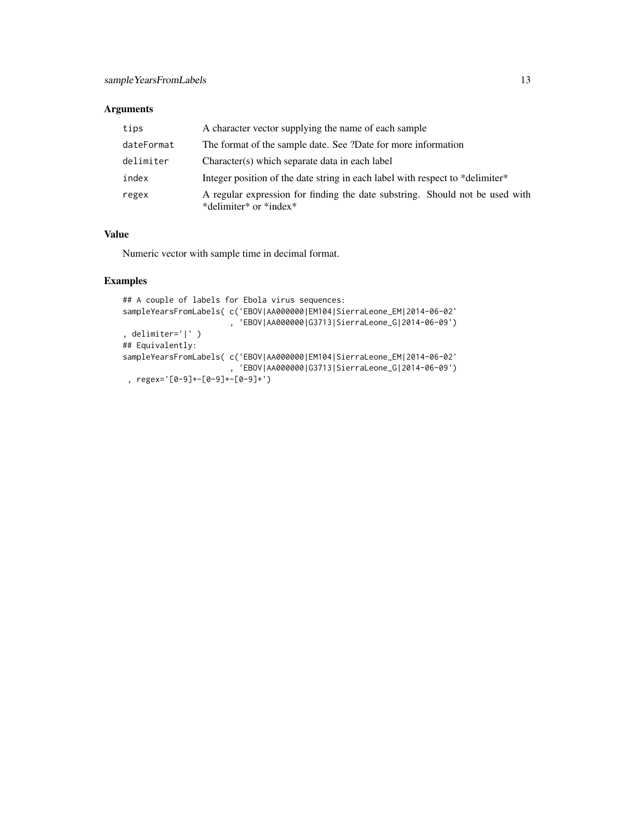#### Arguments

| tips       | A character vector supplying the name of each sample                                                   |
|------------|--------------------------------------------------------------------------------------------------------|
| dateFormat | The format of the sample date. See ?Date for more information                                          |
| delimiter  | Character(s) which separate data in each label                                                         |
| index      | Integer position of the date string in each label with respect to *delimiter*                          |
| regex      | A regular expression for finding the date substring. Should not be used with<br>*delimiter* or *index* |

#### Value

Numeric vector with sample time in decimal format.

#### Examples

```
## A couple of labels for Ebola virus sequences:
sampleYearsFromLabels( c('EBOV|AA000000|EM104|SierraLeone_EM|2014-06-02'
                       , 'EBOV|AA000000|G3713|SierraLeone_G|2014-06-09')
, delimiter='|' )
## Equivalently:
sampleYearsFromLabels( c('EBOV|AA000000|EM104|SierraLeone_EM|2014-06-02'
                       , 'EBOV|AA000000|G3713|SierraLeone_G|2014-06-09')
 , regex='[0-9]+-[0-9]+-[0-9]+')
```